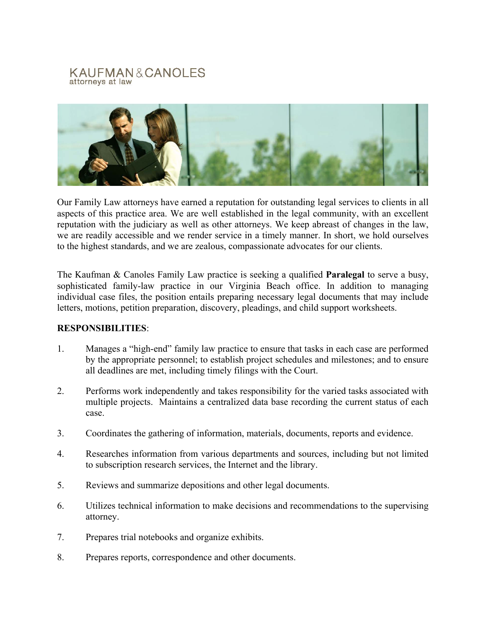## KAUFMAN&CANOLES attorneys at law



Our Family Law attorneys have earned a reputation for outstanding legal services to clients in all aspects of this practice area. We are well established in the legal community, with an excellent reputation with the judiciary as well as other attorneys. We keep abreast of changes in the law, we are readily accessible and we render service in a timely manner. In short, we hold ourselves to the highest standards, and we are zealous, compassionate advocates for our clients.

The Kaufman & Canoles Family Law practice is seeking a qualified **Paralegal** to serve a busy, sophisticated family-law practice in our Virginia Beach office. In addition to managing individual case files, the position entails preparing necessary legal documents that may include letters, motions, petition preparation, discovery, pleadings, and child support worksheets.

## **RESPONSIBILITIES**:

- 1. Manages a "high-end" family law practice to ensure that tasks in each case are performed by the appropriate personnel; to establish project schedules and milestones; and to ensure all deadlines are met, including timely filings with the Court.
- 2. Performs work independently and takes responsibility for the varied tasks associated with multiple projects. Maintains a centralized data base recording the current status of each case.
- 3. Coordinates the gathering of information, materials, documents, reports and evidence.
- 4. Researches information from various departments and sources, including but not limited to subscription research services, the Internet and the library.
- 5. Reviews and summarize depositions and other legal documents.
- 6. Utilizes technical information to make decisions and recommendations to the supervising attorney.
- 7. Prepares trial notebooks and organize exhibits.
- 8. Prepares reports, correspondence and other documents.